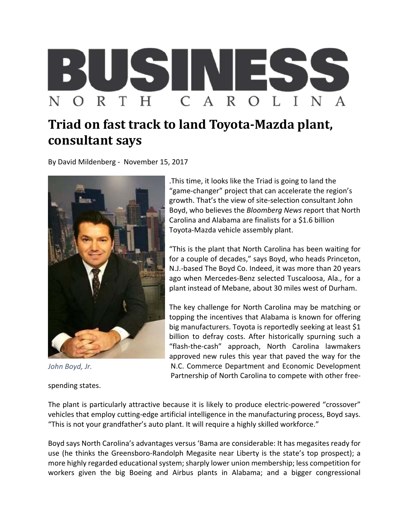

## **Triad on fast track to land Toyota-Mazda plant, consultant says**

By David Mildenberg ‐ November 15, 2017



*John Boyd, Jr.*

spending states.

.This time, it looks like the Triad is going to land the "game‐changer" project that can accelerate the region's growth. That's the view of site‐selection consultant John Boyd, who believes the *Bloomberg News r*eport that North Carolina and Alabama are finalists for a \$1.6 billion Toyota‐Mazda vehicle assembly plant.

"This is the plant that North Carolina has been waiting for for a couple of decades," says Boyd, who heads Princeton, N.J.‐based The Boyd Co. Indeed, it was more than 20 years ago when Mercedes‐Benz selected Tuscaloosa, Ala., for a plant instead of Mebane, about 30 miles west of Durham.

The key challenge for North Carolina may be matching or topping the incentives that Alabama is known for offering big manufacturers. Toyota is reportedly seeking at least \$1 billion to defray costs. After historically spurning such a "flash‐the‐cash" approach, North Carolina lawmakers approved new rules this year that paved the way for the N.C. Commerce Department and Economic Development Partnership of North Carolina to compete with other free‐

The plant is particularly attractive because it is likely to produce electric-powered "crossover" vehicles that employ cutting-edge artificial intelligence in the manufacturing process, Boyd says. "This is not your grandfather's auto plant. It will require a highly skilled workforce."

Boyd says North Carolina's advantages versus 'Bama are considerable: It has megasites ready for use (he thinks the Greensboro‐Randolph Megasite near Liberty is the state's top prospect); a more highly regarded educational system; sharply lower union membership; less competition for workers given the big Boeing and Airbus plants in Alabama; and a bigger congressional